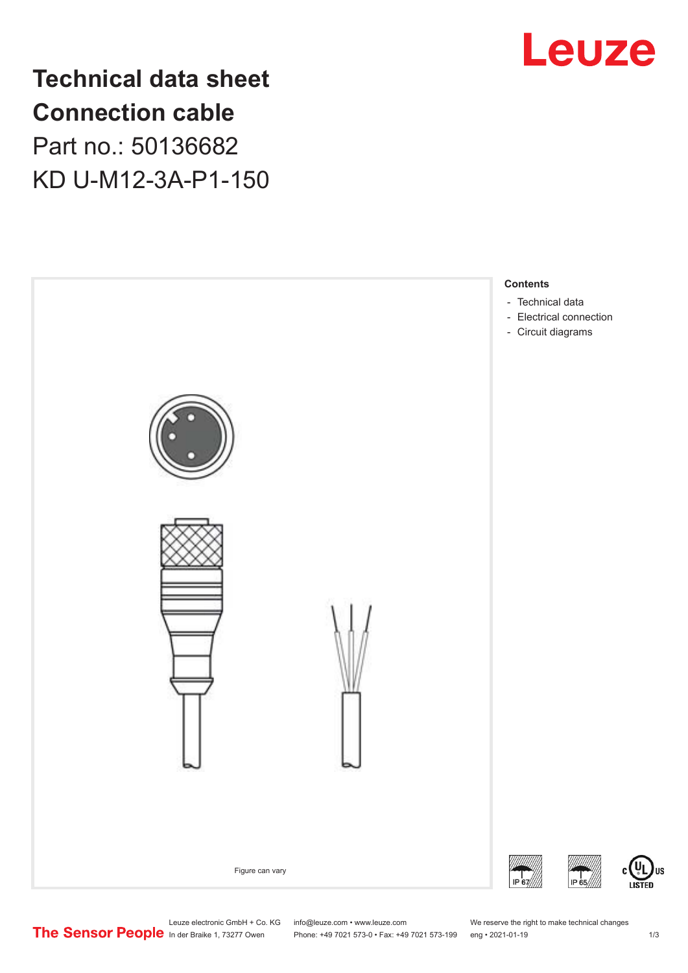

**Technical data sheet Connection cable** Part no.: 50136682 KD U-M12-3A-P1-150



Phone: +49 7021 573-0 • Fax: +49 7021 573-199 eng • 2021-01-19

US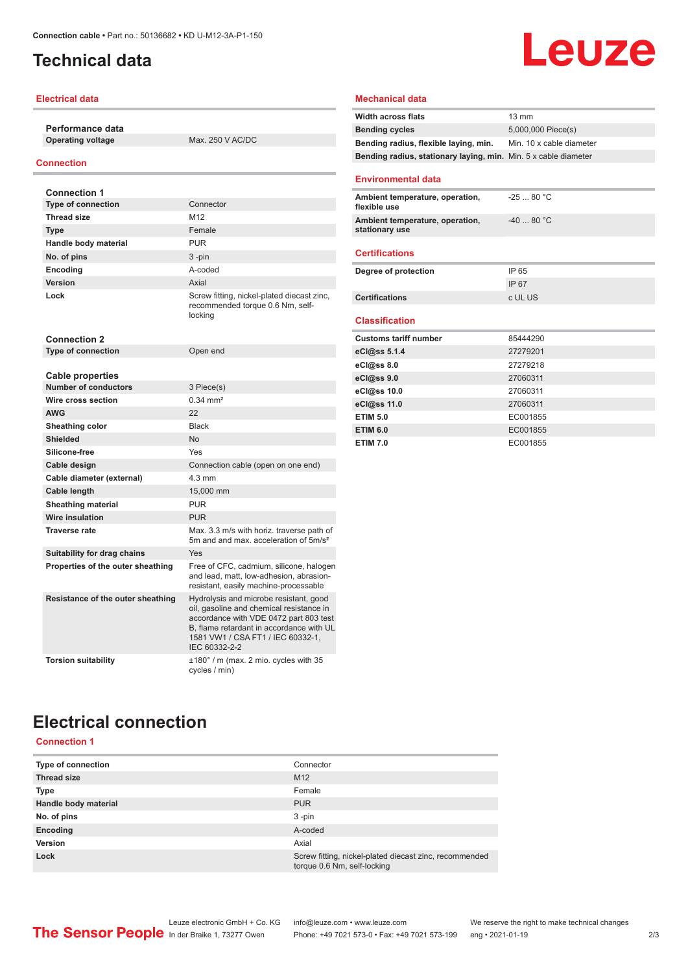# <span id="page-1-0"></span>**Technical data**

## **Electrical data**

**Performance data Operating voltage** Max. 250 V AC/DC

### **Connection**

| <b>Connection 1</b>                                    |                                                                                                                                                                                                                                |
|--------------------------------------------------------|--------------------------------------------------------------------------------------------------------------------------------------------------------------------------------------------------------------------------------|
| <b>Type of connection</b>                              | Connector                                                                                                                                                                                                                      |
| <b>Thread size</b>                                     | M12                                                                                                                                                                                                                            |
| <b>Type</b>                                            | Female                                                                                                                                                                                                                         |
| Handle body material                                   | <b>PUR</b>                                                                                                                                                                                                                     |
| No. of pins                                            | 3-pin                                                                                                                                                                                                                          |
| Encoding                                               | A-coded                                                                                                                                                                                                                        |
| Version                                                | Axial                                                                                                                                                                                                                          |
| Lock                                                   | Screw fitting, nickel-plated diecast zinc,<br>recommended torque 0.6 Nm, self-<br>locking                                                                                                                                      |
| <b>Connection 2</b>                                    |                                                                                                                                                                                                                                |
| <b>Type of connection</b>                              | Open end                                                                                                                                                                                                                       |
|                                                        |                                                                                                                                                                                                                                |
| <b>Cable properties</b><br><b>Number of conductors</b> |                                                                                                                                                                                                                                |
| Wire cross section                                     | 3 Piece(s)<br>$0.34 \, \text{mm}^2$                                                                                                                                                                                            |
|                                                        | 22                                                                                                                                                                                                                             |
| <b>AWG</b>                                             | <b>Black</b>                                                                                                                                                                                                                   |
| Sheathing color<br><b>Shielded</b>                     | <b>No</b>                                                                                                                                                                                                                      |
| Silicone-free                                          | Yes                                                                                                                                                                                                                            |
|                                                        |                                                                                                                                                                                                                                |
| Cable design                                           | Connection cable (open on one end)<br>$4.3 \text{ mm}$                                                                                                                                                                         |
| Cable diameter (external)                              |                                                                                                                                                                                                                                |
| Cable length                                           | 15,000 mm<br><b>PUR</b>                                                                                                                                                                                                        |
| <b>Sheathing material</b><br><b>Wire insulation</b>    | <b>PUR</b>                                                                                                                                                                                                                     |
| <b>Traverse rate</b>                                   |                                                                                                                                                                                                                                |
|                                                        | Max. 3.3 m/s with horiz. traverse path of<br>5m and and max, acceleration of 5m/s <sup>2</sup>                                                                                                                                 |
| Suitability for drag chains                            | Yes                                                                                                                                                                                                                            |
| Properties of the outer sheathing                      | Free of CFC, cadmium, silicone, halogen<br>and lead, matt, low-adhesion, abrasion-<br>resistant, easily machine-processable                                                                                                    |
| Resistance of the outer sheathing                      | Hydrolysis and microbe resistant, good<br>oil, gasoline and chemical resistance in<br>accordance with VDE 0472 part 803 test<br>B. flame retardant in accordance with UL<br>1581 VW1 / CSA FT1 / IEC 60332-1,<br>IEC 60332-2-2 |
| <b>Torsion suitability</b>                             | $\pm 180^\circ$ / m (max. 2 mio. cycles with 35<br>cycles / min)                                                                                                                                                               |

## **Mechanical data**

| <b>Width across flats</b>                                       | $13 \text{ mm}$          |
|-----------------------------------------------------------------|--------------------------|
| <b>Bending cycles</b>                                           | 5,000,000 Piece(s)       |
| Bending radius, flexible laying, min.                           | Min. 10 x cable diameter |
| Bending radius, stationary laying, min. Min. 5 x cable diameter |                          |
| <b>Environmental data</b>                                       |                          |
| Ambient temperature, operation,<br>flexible use                 | $-2580 °C$               |
| Ambient temperature, operation,<br>stationary use               | $-4080 °C$               |
| <b>Certifications</b>                                           |                          |
| Degree of protection                                            | IP 65                    |
|                                                                 | IP 67                    |
| <b>Certifications</b>                                           | c UL US                  |
| <b>Classification</b>                                           |                          |
| <b>Customs tariff number</b>                                    | 85444290                 |
| eCl@ss 5.1.4                                                    | 27279201                 |
| eCl@ss 8.0                                                      | 27279218                 |
| eCl@ss 9.0                                                      | 27060311                 |
| eCl@ss 10.0                                                     | 27060311                 |
| eCl@ss 11.0                                                     | 27060311                 |
| <b>ETIM 5.0</b>                                                 | EC001855                 |
| <b>ETIM 6.0</b>                                                 | EC001855                 |
| <b>ETIM 7.0</b>                                                 | EC001855                 |

Leuze

# **Electrical connection**

## **Connection 1**

| <b>Type of connection</b> | Connector                                                                             |
|---------------------------|---------------------------------------------------------------------------------------|
| <b>Thread size</b>        | M <sub>12</sub>                                                                       |
| <b>Type</b>               | Female                                                                                |
| Handle body material      | <b>PUR</b>                                                                            |
| No. of pins               | $3 - pin$                                                                             |
| Encoding                  | A-coded                                                                               |
| Version                   | Axial                                                                                 |
| Lock                      | Screw fitting, nickel-plated diecast zinc, recommended<br>torque 0.6 Nm, self-locking |